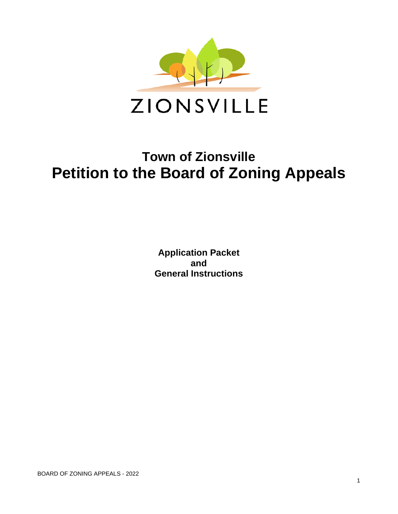

# **Town of Zionsville Petition to the Board of Zoning Appeals**

**Application Packet and General Instructions**

BOARD OF ZONING APPEALS - 2022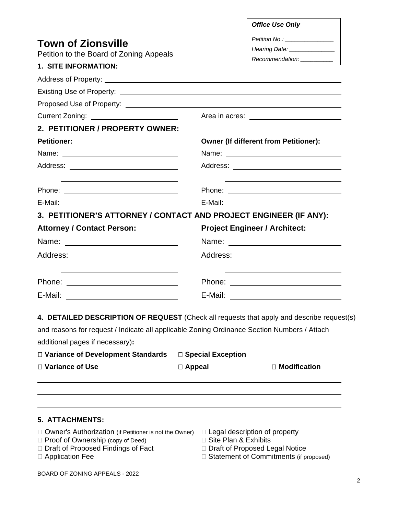|                                                                                                                                                                                                                                                                    |                        | <b>Office Use Only</b>                                                   |  |  |  |  |
|--------------------------------------------------------------------------------------------------------------------------------------------------------------------------------------------------------------------------------------------------------------------|------------------------|--------------------------------------------------------------------------|--|--|--|--|
|                                                                                                                                                                                                                                                                    |                        | Petition No.: ________________                                           |  |  |  |  |
| <b>Town of Zionsville</b>                                                                                                                                                                                                                                          |                        | Hearing Date: _______________                                            |  |  |  |  |
| Petition to the Board of Zoning Appeals                                                                                                                                                                                                                            |                        | Recommendation: __________                                               |  |  |  |  |
| 1. SITE INFORMATION:                                                                                                                                                                                                                                               |                        |                                                                          |  |  |  |  |
|                                                                                                                                                                                                                                                                    |                        |                                                                          |  |  |  |  |
|                                                                                                                                                                                                                                                                    |                        |                                                                          |  |  |  |  |
|                                                                                                                                                                                                                                                                    |                        |                                                                          |  |  |  |  |
|                                                                                                                                                                                                                                                                    |                        |                                                                          |  |  |  |  |
| 2. PETITIONER / PROPERTY OWNER:                                                                                                                                                                                                                                    |                        |                                                                          |  |  |  |  |
| <b>Petitioner:</b>                                                                                                                                                                                                                                                 |                        | <b>Owner (If different from Petitioner):</b>                             |  |  |  |  |
|                                                                                                                                                                                                                                                                    |                        |                                                                          |  |  |  |  |
|                                                                                                                                                                                                                                                                    |                        |                                                                          |  |  |  |  |
|                                                                                                                                                                                                                                                                    |                        |                                                                          |  |  |  |  |
|                                                                                                                                                                                                                                                                    |                        |                                                                          |  |  |  |  |
|                                                                                                                                                                                                                                                                    |                        | 3. PETITIONER'S ATTORNEY / CONTACT AND PROJECT ENGINEER (IF ANY):        |  |  |  |  |
| <b>Attorney / Contact Person:</b>                                                                                                                                                                                                                                  |                        | <b>Project Engineer / Architect:</b>                                     |  |  |  |  |
|                                                                                                                                                                                                                                                                    |                        |                                                                          |  |  |  |  |
|                                                                                                                                                                                                                                                                    |                        |                                                                          |  |  |  |  |
|                                                                                                                                                                                                                                                                    |                        |                                                                          |  |  |  |  |
|                                                                                                                                                                                                                                                                    |                        |                                                                          |  |  |  |  |
| 4. DETAILED DESCRIPTION OF REQUEST (Check all requests that apply and describe request(s)<br>and reasons for request / Indicate all applicable Zoning Ordinance Section Numbers / Attach<br>additional pages if necessary):<br>□ Variance of Development Standards | □ Special Exception    |                                                                          |  |  |  |  |
|                                                                                                                                                                                                                                                                    |                        | $\Box$ Modification                                                      |  |  |  |  |
| □ Variance of Use                                                                                                                                                                                                                                                  | $\Box$ Appeal          |                                                                          |  |  |  |  |
|                                                                                                                                                                                                                                                                    |                        |                                                                          |  |  |  |  |
| <b>5. ATTACHMENTS:</b>                                                                                                                                                                                                                                             |                        |                                                                          |  |  |  |  |
| □ Owner's Authorization (if Petitioner is not the Owner)<br>$\Box$ Proof of Ownership (copy of Deed)<br>□ Draft of Proposed Findings of Fact                                                                                                                       | □ Site Plan & Exhibits | $\Box$ Legal description of property<br>□ Draft of Proposed Legal Notice |  |  |  |  |

- 
- □ Application Fee <br>
□ Statement of Commitments (if proposed)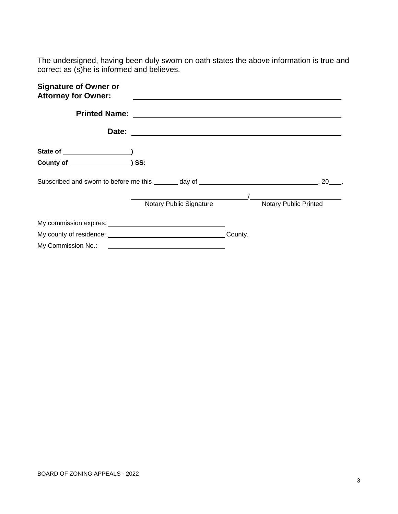The undersigned, having been duly sworn on oath states the above information is true and correct as (s)he is informed and believes.

| <b>Signature of Owner or</b><br><b>Attorney for Owner:</b>                                                                                                                                                                     |                         |         |                              |
|--------------------------------------------------------------------------------------------------------------------------------------------------------------------------------------------------------------------------------|-------------------------|---------|------------------------------|
|                                                                                                                                                                                                                                |                         |         |                              |
|                                                                                                                                                                                                                                |                         |         |                              |
|                                                                                                                                                                                                                                |                         |         |                              |
|                                                                                                                                                                                                                                |                         |         |                              |
| Subscribed and sworn to before me this day of discussion of the state of the state of the state of the state of the state of the state of the state of the state of the state of the state of the state of the state of the st |                         |         | 20                           |
|                                                                                                                                                                                                                                | Notary Public Signature |         | <b>Notary Public Printed</b> |
|                                                                                                                                                                                                                                |                         |         |                              |
|                                                                                                                                                                                                                                |                         | County. |                              |
| My Commission No.: 2008 - 2010 12:00 12:00 12:00 12:00 12:00 12:00 12:00 12:00 12:00 12:00 12:00 12:00 12:00 1                                                                                                                 |                         |         |                              |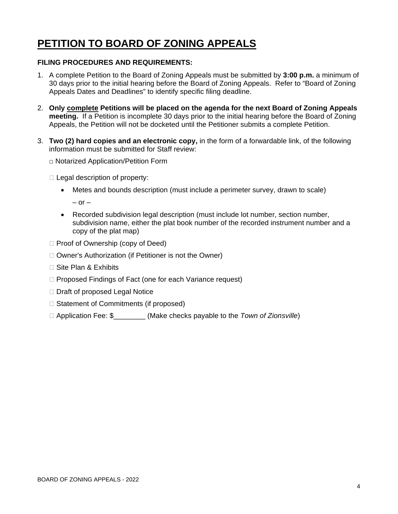# **PETITION TO BOARD OF ZONING APPEALS**

#### **FILING PROCEDURES AND REQUIREMENTS:**

- 1. A complete Petition to the Board of Zoning Appeals must be submitted by **3:00 p.m.** a minimum of 30 days prior to the initial hearing before the Board of Zoning Appeals. Refer to "Board of Zoning Appeals Dates and Deadlines" to identify specific filing deadline.
- 2. **Only complete Petitions will be placed on the agenda for the next Board of Zoning Appeals meeting.** If a Petition is incomplete 30 days prior to the initial hearing before the Board of Zoning Appeals, the Petition will not be docketed until the Petitioner submits a complete Petition.
- 3. **Two (2) hard copies and an electronic copy,** in the form of a forwardable link, of the following information must be submitted for Staff review:
	- □ Notarized Application/Petition Form
	- $\Box$  Legal description of property:
		- Metes and bounds description (must include a perimeter survey, drawn to scale)

 $-$  or  $-$ 

- Recorded subdivision legal description (must include lot number, section number, subdivision name, either the plat book number of the recorded instrument number and a copy of the plat map)
- $\Box$  Proof of Ownership (copy of Deed)
- $\Box$  Owner's Authorization (if Petitioner is not the Owner)
- $\Box$  Site Plan & Exhibits
- □ Proposed Findings of Fact (one for each Variance request)
- $\Box$  Draft of proposed Legal Notice
- $\Box$  Statement of Commitments (if proposed)
- Application Fee: \$\_\_\_\_\_\_\_\_ (Make checks payable to the *Town of Zionsville*)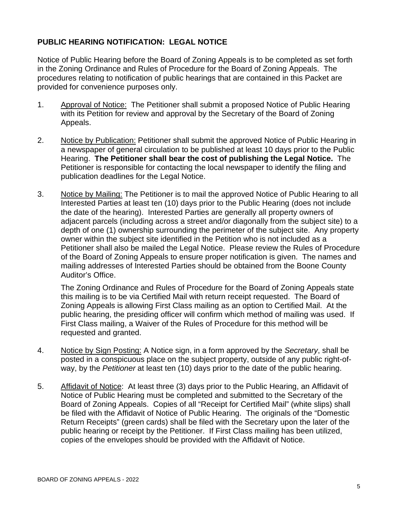#### **PUBLIC HEARING NOTIFICATION: LEGAL NOTICE**

Notice of Public Hearing before the Board of Zoning Appeals is to be completed as set forth in the Zoning Ordinance and Rules of Procedure for the Board of Zoning Appeals. The procedures relating to notification of public hearings that are contained in this Packet are provided for convenience purposes only.

- 1. Approval of Notice: The Petitioner shall submit a proposed Notice of Public Hearing with its Petition for review and approval by the Secretary of the Board of Zoning Appeals.
- 2. Notice by Publication: Petitioner shall submit the approved Notice of Public Hearing in a newspaper of general circulation to be published at least 10 days prior to the Public Hearing. **The Petitioner shall bear the cost of publishing the Legal Notice.** The Petitioner is responsible for contacting the local newspaper to identify the filing and publication deadlines for the Legal Notice.
- 3. Notice by Mailing: The Petitioner is to mail the approved Notice of Public Hearing to all Interested Parties at least ten (10) days prior to the Public Hearing (does not include the date of the hearing). Interested Parties are generally all property owners of adjacent parcels (including across a street and/or diagonally from the subject site) to a depth of one (1) ownership surrounding the perimeter of the subject site. Any property owner within the subject site identified in the Petition who is not included as a Petitioner shall also be mailed the Legal Notice. Please review the Rules of Procedure of the Board of Zoning Appeals to ensure proper notification is given. The names and mailing addresses of Interested Parties should be obtained from the Boone County Auditor's Office.

The Zoning Ordinance and Rules of Procedure for the Board of Zoning Appeals state this mailing is to be via Certified Mail with return receipt requested. The Board of Zoning Appeals is allowing First Class mailing as an option to Certified Mail. At the public hearing, the presiding officer will confirm which method of mailing was used. If First Class mailing, a Waiver of the Rules of Procedure for this method will be requested and granted.

- 4. Notice by Sign Posting: A Notice sign, in a form approved by the *Secretary*, shall be posted in a conspicuous place on the subject property, outside of any public right-ofway, by the *Petitioner* at least ten (10) days prior to the date of the public hearing.
- 5. Affidavit of Notice: At least three (3) days prior to the Public Hearing, an Affidavit of Notice of Public Hearing must be completed and submitted to the Secretary of the Board of Zoning Appeals. Copies of all "Receipt for Certified Mail" (white slips) shall be filed with the Affidavit of Notice of Public Hearing. The originals of the "Domestic Return Receipts" (green cards) shall be filed with the Secretary upon the later of the public hearing or receipt by the Petitioner. If First Class mailing has been utilized, copies of the envelopes should be provided with the Affidavit of Notice.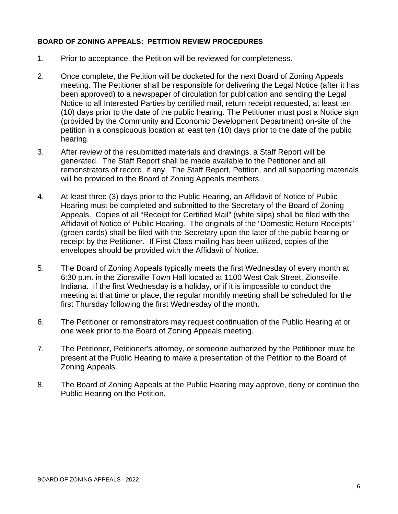#### **BOARD OF ZONING APPEALS: PETITION REVIEW PROCEDURES**

- 1. Prior to acceptance, the Petition will be reviewed for completeness.
- 2. Once complete, the Petition will be docketed for the next Board of Zoning Appeals meeting. The Petitioner shall be responsible for delivering the Legal Notice (after it has been approved) to a newspaper of circulation for publication and sending the Legal Notice to all Interested Parties by certified mail, return receipt requested, at least ten (10) days prior to the date of the public hearing. The Petitioner must post a Notice sign (provided by the Community and Economic Development Department) on-site of the petition in a conspicuous location at least ten (10) days prior to the date of the public hearing.
- 3. After review of the resubmitted materials and drawings, a Staff Report will be generated. The Staff Report shall be made available to the Petitioner and all remonstrators of record, if any. The Staff Report, Petition, and all supporting materials will be provided to the Board of Zoning Appeals members.
- 4. At least three (3) days prior to the Public Hearing, an Affidavit of Notice of Public Hearing must be completed and submitted to the Secretary of the Board of Zoning Appeals. Copies of all "Receipt for Certified Mail" (white slips) shall be filed with the Affidavit of Notice of Public Hearing. The originals of the "Domestic Return Receipts" (green cards) shall be filed with the Secretary upon the later of the public hearing or receipt by the Petitioner. If First Class mailing has been utilized, copies of the envelopes should be provided with the Affidavit of Notice.
- 5. The Board of Zoning Appeals typically meets the first Wednesday of every month at 6:30 p.m. in the Zionsville Town Hall located at 1100 West Oak Street, Zionsville, Indiana. If the first Wednesday is a holiday, or if it is impossible to conduct the meeting at that time or place, the regular monthly meeting shall be scheduled for the first Thursday following the first Wednesday of the month.
- 6. The Petitioner or remonstrators may request continuation of the Public Hearing at or one week prior to the Board of Zoning Appeals meeting.
- 7. The Petitioner, Petitioner's attorney, or someone authorized by the Petitioner must be present at the Public Hearing to make a presentation of the Petition to the Board of Zoning Appeals.
- 8. The Board of Zoning Appeals at the Public Hearing may approve, deny or continue the Public Hearing on the Petition.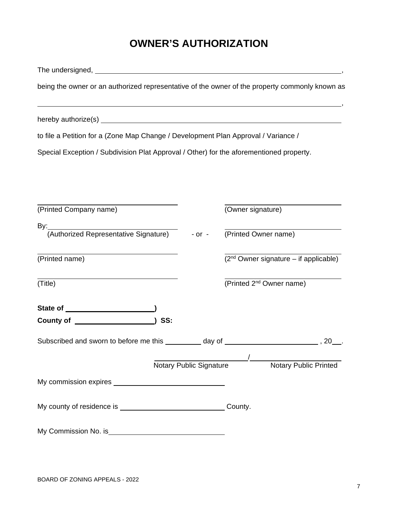# **OWNER'S AUTHORIZATION**

The undersigned, ,

being the owner or an authorized representative of the owner of the property commonly known as

,

hereby authorize(s) example and the state of the state of the state of the state of the state of the state of the state of the state of the state of the state of the state of the state of the state of the state of the stat

to file a Petition for a (Zone Map Change / Development Plan Approval / Variance /

Special Exception / Subdivision Plat Approval / Other) for the aforementioned property.

| (Printed Company name)                                                               |     | (Owner signature) |                                                  |
|--------------------------------------------------------------------------------------|-----|-------------------|--------------------------------------------------|
| By:<br>(Authorized Representative Signature) - or - (Printed Owner name)             |     |                   |                                                  |
| (Printed name)                                                                       |     |                   | $(2nd$ Owner signature – if applicable)          |
| (Title)                                                                              |     |                   | (Printed 2 <sup>nd</sup> Owner name)             |
|                                                                                      |     |                   |                                                  |
|                                                                                      | SS: |                   |                                                  |
| Subscribed and sworn to before me this _________ day of ________________________, 20 |     |                   |                                                  |
|                                                                                      |     |                   | Notary Public Signature // Notary Public Printed |
|                                                                                      |     |                   |                                                  |
|                                                                                      |     |                   |                                                  |
|                                                                                      |     |                   |                                                  |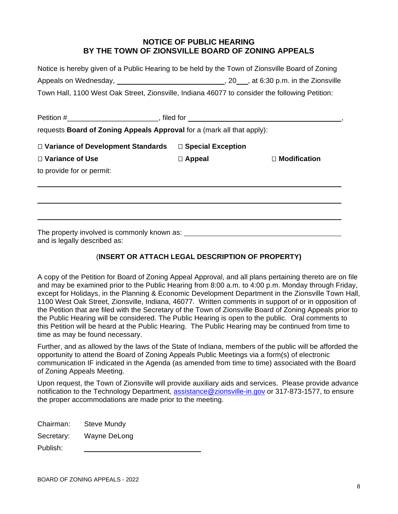#### **NOTICE OF PUBLIC HEARING BY THE TOWN OF ZIONSVILLE BOARD OF ZONING APPEALS**

| Notice is hereby given of a Public Hearing to be held by the Town of Zionsville Board of Zoning                |                                         |
|----------------------------------------------------------------------------------------------------------------|-----------------------------------------|
| Appeals on Wednesday, and a state of the state of the state of the state of the state of the state of the stat | $, 20$ , at 6:30 p.m. in the Zionsville |
| Town Hall, 1100 West Oak Street, Zionsville, Indiana 46077 to consider the following Petition:                 |                                         |

| requests <b>Board of Zoning Appeals Approval</b> for a (mark all that apply): |                     |                     |
|-------------------------------------------------------------------------------|---------------------|---------------------|
| □ Variance of Development Standards                                           | □ Special Exception |                     |
| □ Variance of Use                                                             | $\Box$ Appeal       | $\Box$ Modification |
| to provide for or permit:                                                     |                     |                     |
|                                                                               |                     |                     |
|                                                                               |                     |                     |
|                                                                               |                     |                     |
|                                                                               |                     |                     |

The property involved is commonly known as: and is legally described as:

#### (**INSERT OR ATTACH LEGAL DESCRIPTION OF PROPERTY)**

A copy of the Petition for Board of Zoning Appeal Approval, and all plans pertaining thereto are on file and may be examined prior to the Public Hearing from 8:00 a.m. to 4:00 p.m. Monday through Friday, except for Holidays, in the Planning & Economic Development Department in the Zionsville Town Hall, 1100 West Oak Street, Zionsville, Indiana, 46077. Written comments in support of or in opposition of the Petition that are filed with the Secretary of the Town of Zionsville Board of Zoning Appeals prior to the Public Hearing will be considered. The Public Hearing is open to the public. Oral comments to this Petition will be heard at the Public Hearing. The Public Hearing may be continued from time to time as may be found necessary.

Further, and as allowed by the laws of the State of Indiana, members of the public will be afforded the opportunity to attend the Board of Zoning Appeals Public Meetings via a form(s) of electronic communication IF indicated in the Agenda (as amended from time to time) associated with the Board of Zoning Appeals Meeting.

Upon request, the Town of Zionsville will provide auxiliary aids and services. Please provide advance notification to the Technology Department, [assistance@zionsville-in.gov](mailto:assistance@zionsville-in.gov) or 317-873-1577, to ensure the proper accommodations are made prior to the meeting.

| Chairman:  | <b>Steve Mundy</b> |
|------------|--------------------|
| Secretary: | Wayne DeLong       |
| Publish:   |                    |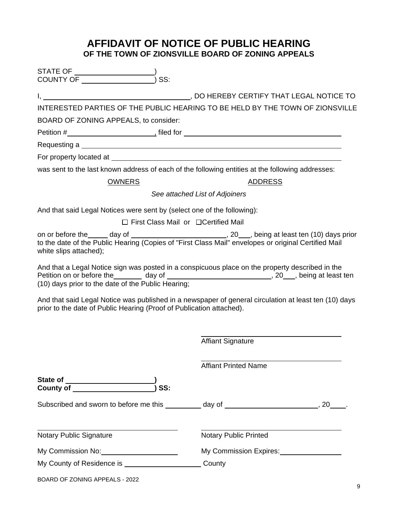# **AFFIDAVIT OF NOTICE OF PUBLIC HEARING OF THE TOWN OF ZIONSVILLE BOARD OF ZONING APPEALS**

| SS:                                                                     |                                                                                                                                                                                                           |
|-------------------------------------------------------------------------|-----------------------------------------------------------------------------------------------------------------------------------------------------------------------------------------------------------|
|                                                                         |                                                                                                                                                                                                           |
|                                                                         |                                                                                                                                                                                                           |
|                                                                         | INTERESTED PARTIES OF THE PUBLIC HEARING TO BE HELD BY THE TOWN OF ZIONSVILLE                                                                                                                             |
| BOARD OF ZONING APPEALS, to consider:                                   |                                                                                                                                                                                                           |
|                                                                         |                                                                                                                                                                                                           |
|                                                                         |                                                                                                                                                                                                           |
|                                                                         | was sent to the last known address of each of the following entities at the following addresses:                                                                                                          |
| <b>OWNERS</b>                                                           | <b>ADDRESS</b>                                                                                                                                                                                            |
|                                                                         | See attached List of Adjoiners                                                                                                                                                                            |
| And that said Legal Notices were sent by (select one of the following): |                                                                                                                                                                                                           |
| $\Box$ First Class Mail or $\Box$ Certified Mail                        |                                                                                                                                                                                                           |
| white slips attached);                                                  | to the date of the Public Hearing (Copies of "First Class Mail" envelopes or original Certified Mail                                                                                                      |
| (10) days prior to the date of the Public Hearing;                      | And that a Legal Notice sign was posted in a conspicuous place on the property described in the<br>Petition on or before the ________ day of _________________________________, 20___, being at least ten |
| prior to the date of Public Hearing (Proof of Publication attached).    | And that said Legal Notice was published in a newspaper of general circulation at least ten (10) days                                                                                                     |
|                                                                         | <b>Affiant Signature</b>                                                                                                                                                                                  |
|                                                                         | <b>Affiant Printed Name</b>                                                                                                                                                                               |
| SS:                                                                     |                                                                                                                                                                                                           |
|                                                                         | Subscribed and sworn to before me this __________ day of _______________________, 20____.                                                                                                                 |
| Notary Public Signature                                                 | Notary Public Printed                                                                                                                                                                                     |
| My Commission No: 1990 My Commission No:                                | My Commission Expires:<br>My Commission Expires:                                                                                                                                                          |
| My County of Residence is ____________________________County            |                                                                                                                                                                                                           |
| BOARD OF ZONING APPEALS - 2022                                          |                                                                                                                                                                                                           |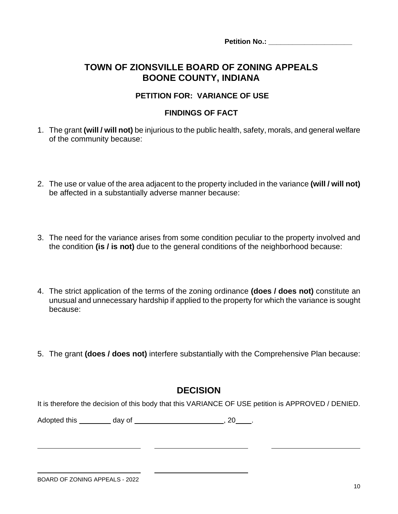**Petition No.: \_\_\_\_\_\_\_\_\_\_\_\_\_\_\_\_\_\_\_\_\_**

# **TOWN OF ZIONSVILLE BOARD OF ZONING APPEALS BOONE COUNTY, INDIANA**

#### **PETITION FOR: VARIANCE OF USE**

#### **FINDINGS OF FACT**

- 1. The grant **(will / will not)** be injurious to the public health, safety, morals, and general welfare of the community because:
- 2. The use or value of the area adjacent to the property included in the variance **(will / will not)** be affected in a substantially adverse manner because:
- 3. The need for the variance arises from some condition peculiar to the property involved and the condition **(is / is not)** due to the general conditions of the neighborhood because:
- 4. The strict application of the terms of the zoning ordinance **(does / does not)** constitute an unusual and unnecessary hardship if applied to the property for which the variance is sought because:
- 5. The grant **(does / does not)** interfere substantially with the Comprehensive Plan because:

### **DECISION**

It is therefore the decision of this body that this VARIANCE OF USE petition is APPROVED / DENIED.

Adopted this \_\_\_\_\_\_\_\_\_ day of \_\_\_\_\_\_\_\_\_\_\_\_\_\_\_\_\_\_\_\_\_\_\_\_\_\_\_, 20\_\_\_\_\_.

 $\overline{\phantom{a}}$ 

 $\overline{a}$ 

 $\overline{a}$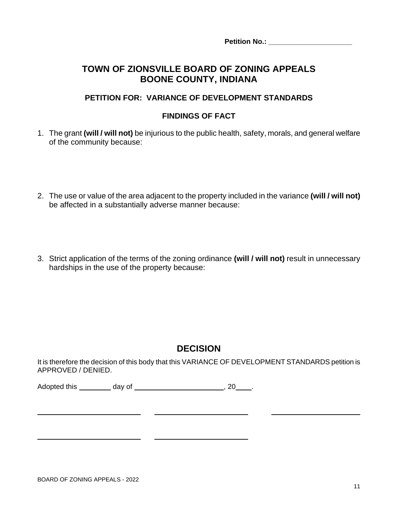**Petition No.: \_\_\_\_\_\_\_\_\_\_\_\_\_\_\_\_\_\_\_\_\_**

## **TOWN OF ZIONSVILLE BOARD OF ZONING APPEALS BOONE COUNTY, INDIANA**

#### **PETITION FOR: VARIANCE OF DEVELOPMENT STANDARDS**

#### **FINDINGS OF FACT**

- 1. The grant **(will / will not)** be injurious to the public health, safety, morals, and general welfare of the community because:
- 2. The use or value of the area adjacent to the property included in the variance **(will / will not)** be affected in a substantially adverse manner because:
- 3. Strict application of the terms of the zoning ordinance **(will / will not)** result in unnecessary hardships in the use of the property because:

# **DECISION**

It is therefore the decision of this body that this VARIANCE OF DEVELOPMENT STANDARDS petition is APPROVED / DENIED.

Adopted this day of , 20 ...

<u> 1980 - Johann Barnett, fransk konge og det forske forskellige og det forskellige og det forskellige og det f</u>

 $\overline{a}$ 

 $\overline{a}$